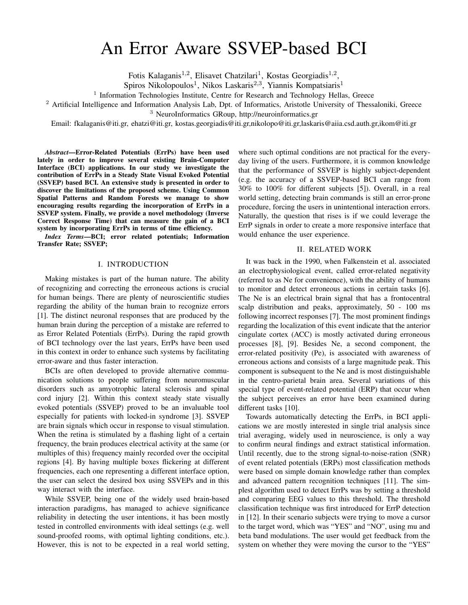# An Error Aware SSVEP-based BCI

Fotis Kalaganis<sup>1,2</sup>, Elisavet Chatzilari<sup>1</sup>, Kostas Georgiadis<sup>1,2</sup>,

Spiros Nikolopoulos<sup>1</sup>, Nikos Laskaris<sup>2,3</sup>, Yiannis Kompatsiaris<sup>1</sup>

<sup>1</sup> Information Technologies Institute, Centre for Research and Technology Hellas, Greece

<sup>2</sup> Artificial Intelligence and Information Analysis Lab, Dpt. of Informatics, Aristotle University of Thessaloniki, Greece

<sup>3</sup> NeuroInformatics GRoup, http://neuroinformatics.gr

Email: fkalaganis@iti.gr, ehatzi@iti.gr, kostas.georgiadis@iti.gr,nikolopo@iti.gr,laskaris@aiia.csd.auth.gr,ikom@iti.gr

*Abstract*—Error-Related Potentials (ErrPs) have been used lately in order to improve several existing Brain-Computer Interface (BCI) applications. In our study we investigate the contribution of ErrPs in a Steady State Visual Evoked Potential (SSVEP) based BCI. An extensive study is presented in order to discover the limitations of the proposed scheme. Using Common Spatial Patterns and Random Forests we manage to show encouraging results regarding the incorporation of ErrPs in a SSVEP system. Finally, we provide a novel methodology (Inverse Correct Response Time) that can measure the gain of a BCI system by incorporating ErrPs in terms of time efficiency.

*Index Terms*—BCI; error related potentials; Information Transfer Rate; SSVEP;

# I. INTRODUCTION

Making mistakes is part of the human nature. The ability of recognizing and correcting the erroneous actions is crucial for human beings. There are plenty of neuroscientific studies regarding the ability of the human brain to recognize errors [1]. The distinct neuronal responses that are produced by the human brain during the perception of a mistake are referred to as Error Related Potentials (ErrPs). During the rapid growth of BCI technology over the last years, ErrPs have been used in this context in order to enhance such systems by facilitating error-aware and thus faster interaction.

BCIs are often developed to provide alternative communication solutions to people suffering from neuromuscular disorders such as amyotrophic lateral sclerosis and spinal cord injury [2]. Within this context steady state visually evoked potentials (SSVEP) proved to be an invaluable tool especially for patients with locked-in syndrome [3]. SSVEP are brain signals which occur in response to visual stimulation. When the retina is stimulated by a flashing light of a certain frequency, the brain produces electrical activity at the same (or multiples of this) frequency mainly recorded over the occipital regions [4]. By having multiple boxes flickering at different frequencies, each one representing a different interface option, the user can select the desired box using SSVEPs and in this way interact with the interface.

While SSVEP, being one of the widely used brain-based interaction paradigms, has managed to achieve significance reliability in detecting the user intentions, it has been mostly tested in controlled environments with ideal settings (e.g. well sound-proofed rooms, with optimal lighting conditions, etc.). However, this is not to be expected in a real world setting,

where such optimal conditions are not practical for the everyday living of the users. Furthermore, it is common knowledge that the performance of SSVEP is highly subject-dependent (e.g. the accuracy of a SSVEP-based BCI can range from 30% to 100% for different subjects [5]). Overall, in a real world setting, detecting brain commands is still an error-prone procedure, forcing the users in unintentional interaction errors. Naturally, the question that rises is if we could leverage the ErrP signals in order to create a more responsive interface that would enhance the user experience.

#### II. RELATED WORK

It was back in the 1990, when Falkenstein et al. associated an electrophysiological event, called error-related negativity (referred to as Ne for convenience), with the ability of humans to monitor and detect erroneous actions in certain tasks [6]. The Ne is an electrical brain signal that has a frontocentral scalp distribution and peaks, approximately, 50 - 100 ms following incorrect responses [7]. The most prominent findings regarding the localization of this event indicate that the anterior cingulate cortex (ACC) is mostly activated during erroneous processes [8], [9]. Besides Ne, a second component, the error-related positivity (Pe), is associated with awareness of erroneous actions and consists of a large magnitude peak. This component is subsequent to the Ne and is most distinguishable in the centro-parietal brain area. Several variations of this special type of event-related potential (ERP) that occur when the subject perceives an error have been examined during different tasks [10].

Towards automatically detecting the ErrPs, in BCI applications we are mostly interested in single trial analysis since trial averaging, widely used in neuroscience, is only a way to confirm neural findings and extract statistical information. Until recently, due to the strong signal-to-noise-ration (SNR) of event related potentials (ERPs) most classification methods were based on simple domain knowledge rather than complex and advanced pattern recognition techniques [11]. The simplest algorithm used to detect ErrPs was by setting a threshold and comparing EEG values to this threshold. The threshold classification technique was first introduced for ErrP detection in [12]. In their scenario subjects were trying to move a cursor to the target word, which was "YES" and "NO", using mu and beta band modulations. The user would get feedback from the system on whether they were moving the cursor to the "YES"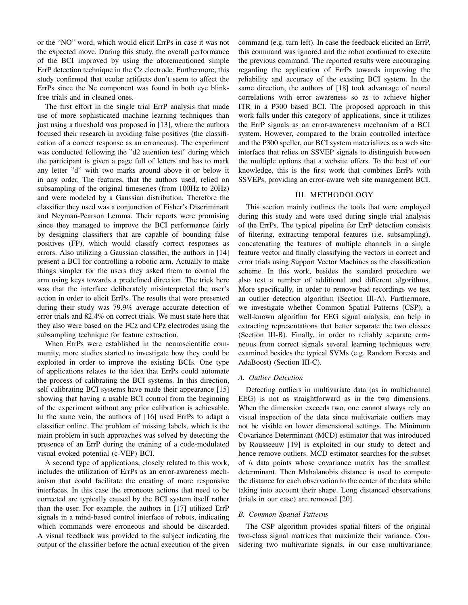or the "NO" word, which would elicit ErrPs in case it was not the expected move. During this study, the overall performance of the BCI improved by using the aforementioned simple ErrP detection technique in the Cz electrode. Furthermore, this study confirmed that ocular artifacts don't seem to affect the ErrPs since the Ne component was found in both eye blinkfree trials and in cleaned ones.

The first effort in the single trial ErrP analysis that made use of more sophisticated machine learning techniques than just using a threshold was proposed in [13], where the authors focused their research in avoiding false positives (the classification of a correct response as an erroneous). The experiment was conducted following the "d2 attention test" during which the participant is given a page full of letters and has to mark any letter "d" with two marks around above it or below it in any order. The features, that the authors used, relied on subsampling of the original timeseries (from 100Hz to 20Hz) and were modeled by a Gaussian distribution. Therefore the classifier they used was a conjunction of Fisher's Discriminant and Neyman-Pearson Lemma. Their reports were promising since they managed to improve the BCI performance fairly by designing classifiers that are capable of bounding false positives (FP), which would classify correct responses as errors. Also utilizing a Gaussian classifier, the authors in [14] present a BCI for controlling a robotic arm. Actually to make things simpler for the users they asked them to control the arm using keys towards a predefined direction. The trick here was that the interface deliberately misinterpreted the user's action in order to elicit ErrPs. The results that were presented during their study was 79.9% average accurate detection of error trials and 82.4% on correct trials. We must state here that they also were based on the FCz and CPz electrodes using the subsampling technique for feature extraction.

When ErrPs were established in the neuroscientific community, more studies started to investigate how they could be exploited in order to improve the existing BCIs. One type of applications relates to the idea that ErrPs could automate the process of calibrating the BCI systems. In this direction, self calibrating BCI systems have made their appearance [15] showing that having a usable BCI control from the beginning of the experiment without any prior calibration is achievable. In the same vein, the authors of [16] used ErrPs to adapt a classifier online. The problem of missing labels, which is the main problem in such approaches was solved by detecting the presence of an ErrP during the training of a code-modulated visual evoked potential (c-VEP) BCI.

A second type of applications, closely related to this work, includes the utilization of ErrPs as an error-awareness mechanism that could facilitate the creating of more responsive interfaces. In this case the erroneous actions that need to be corrected are typically caused by the BCI system itself rather than the user. For example, the authors in [17] utilized ErrP signals in a mind-based control interface of robots, indicating which commands were erroneous and should be discarded. A visual feedback was provided to the subject indicating the output of the classifier before the actual execution of the given command (e.g. turn left). In case the feedback elicited an ErrP, this command was ignored and the robot continued to execute the previous command. The reported results were encouraging regarding the application of ErrPs towards improving the reliability and accuracy of the existing BCI system. In the same direction, the authors of [18] took advantage of neural correlations with error awareness so as to achieve higher ITR in a P300 based BCI. The proposed approach in this work falls under this category of applications, since it utilizes the ErrP signals as an error-awareness mechanism of a BCI system. However, compared to the brain controlled interface and the P300 speller, our BCI system materializes as a web site interface that relies on SSVEP signals to distinguish between the multiple options that a website offers. To the best of our knowledge, this is the first work that combines ErrPs with SSVEPs, providing an error-aware web site management BCI.

#### III. METHODOLOGY

This section mainly outlines the tools that were employed during this study and were used during single trial analysis of the ErrPs. The typical pipeline for ErrP detection consists of filtering, extracting temporal features (i.e. subsampling), concatenating the features of multiple channels in a single feature vector and finally classifying the vectors in correct and error trials using Support Vector Machines as the classification scheme. In this work, besides the standard procedure we also test a number of additional and different algorithms. More specifically, in order to remove bad recordings we test an outlier detection algorithm (Section III-A). Furthermore, we investigate whether Common Spatial Patterns (CSP), a well-known algorithm for EEG signal analysis, can help in extracting representations that better separate the two classes (Section III-B). Finally, in order to reliably separate erroneous from correct signals several learning techniques were examined besides the typical SVMs (e.g. Random Forests and AdaBoost) (Section III-C).

#### *A. Outlier Detection*

Detecting outliers in multivariate data (as in multichannel EEG) is not as straightforward as in the two dimensions. When the dimension exceeds two, one cannot always rely on visual inspection of the data since multivariate outliers may not be visible on lower dimensional settings. The Minimum Covariance Determinant (MCD) estimator that was introduced by Rousseeuw [19] is exploited in our study to detect and hence remove outliers. MCD estimator searches for the subset of  $h$  data points whose covariance matrix has the smallest determinant. Then Mahalanobis distance is used to compute the distance for each observation to the center of the data while taking into account their shape. Long distanced observations (trials in our case) are removed [20].

# *B. Common Spatial Patterns*

The CSP algorithm provides spatial filters of the original two-class signal matrices that maximize their variance. Considering two multivariate signals, in our case multivariance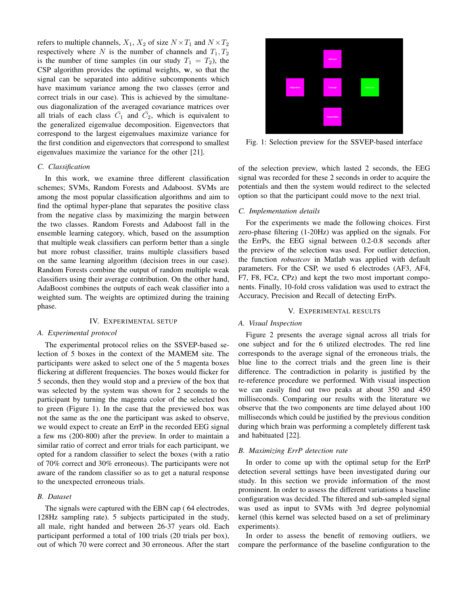refers to multiple channels,  $X_1, X_2$  of size  $N \times T_1$  and  $N \times T_2$ respectively where N is the number of channels and  $T_1, T_2$ is the number of time samples (in our study  $T_1 = T_2$ ), the CSP algorithm provides the optimal weights, w, so that the signal can be separated into additive subcomponents which have maximum variance among the two classes (error and correct trials in our case). This is achieved by the simultaneous diagonalization of the averaged covariance matrices over all trials of each class  $\overline{C_1}$  and  $\overline{C_2}$ , which is equivalent to the generalized eigenvalue decomposition. Eigenvectors that correspond to the largest eigenvalues maximize variance for the first condition and eigenvectors that correspond to smallest eigenvalues maximize the variance for the other [21].

# *C. Classification*

In this work, we examine three different classification schemes; SVMs, Random Forests and Adaboost. SVMs are among the most popular classification algorithms and aim to find the optimal hyper-plane that separates the positive class from the negative class by maximizing the margin between the two classes. Random Forests and Adaboost fall in the ensemble learning category, which, based on the assumption that multiple weak classifiers can perform better than a single but more robust classifier, trains multiple classifiers based on the same learning algorithm (decision trees in our case). Random Forests combine the output of random multiple weak classifiers using their average contribution. On the other hand, AdaBoost combines the outputs of each weak classifier into a weighted sum. The weights are optimized during the training phase.

## IV. EXPERIMENTAL SETUP

#### *A. Experimental protocol*

The experimental protocol relies on the SSVEP-based selection of 5 boxes in the context of the MAMEM site. The participants were asked to select one of the 5 magenta boxes flickering at different frequencies. The boxes would flicker for 5 seconds, then they would stop and a preview of the box that was selected by the system was shown for 2 seconds to the participant by turning the magenta color of the selected box to green (Figure 1). In the case that the previewed box was not the same as the one the participant was asked to observe, we would expect to create an ErrP in the recorded EEG signal a few ms (200-800) after the preview. In order to maintain a similar ratio of correct and error trials for each participant, we opted for a random classifier to select the boxes (with a ratio of 70% correct and 30% erroneous). The participants were not aware of the random classifier so as to get a natural response to the unexpected erroneous trials.

#### *B. Dataset*

The signals were captured with the EBN cap ( 64 electrodes, 128Hz sampling rate). 5 subjects participated in the study, all male, right handed and between 26-37 years old. Each participant performed a total of 100 trials (20 trials per box), out of which 70 were correct and 30 erroneous. After the start



Fig. 1: Selection preview for the SSVEP-based interface

of the selection preview, which lasted 2 seconds, the EEG signal was recorded for these 2 seconds in order to acquire the potentials and then the system would redirect to the selected option so that the participant could move to the next trial.

#### *C. Implementation details*

For the experiments we made the following choices. First zero-phase filtering (1-20Hz) was applied on the signals. For the ErrPs, the EEG signal between 0.2-0.8 seconds after the preview of the selection was used. For outlier detection, the function *robustcov* in Matlab was applied with default parameters. For the CSP, we used 6 electrodes (AF3, AF4, F7, F8, FCz, CPz) and kept the two most important components. Finally, 10-fold cross validation was used to extract the Accuracy, Precision and Recall of detecting ErrPs.

# V. EXPERIMENTAL RESULTS

#### *A. Visual Inspection*

Figure 2 presents the average signal across all trials for one subject and for the 6 utilized electrodes. The red line corresponds to the average signal of the erroneous trials, the blue line to the correct trials and the green line is their difference. The contradiction in polarity is justified by the re-reference procedure we performed. With visual inspection we can easily find out two peaks at about 350 and 450 milliseconds. Comparing our results with the literature we observe that the two components are time delayed about 100 milliseconds which could be justified by the previous condition during which brain was performing a completely different task and habituated [22].

#### *B. Maximizing ErrP detection rate*

In order to come up with the optimal setup for the ErrP detection several settings have been investigated during our study. In this section we provide information of the most prominent. In order to assess the different variations a baseline configuration was decided. The filtered and sub-sampled signal was used as input to SVMs with 3rd degree polynomial kernel (this kernel was selected based on a set of preliminary experiments).

In order to assess the benefit of removing outliers, we compare the performance of the baseline configuration to the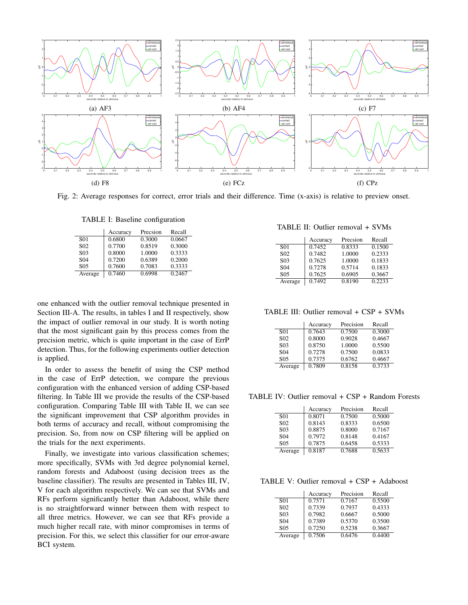

Fig. 2: Average responses for correct, error trials and their difference. Time (x-axis) is relative to preview onset.

TABLE I: Baseline configuration

|                  | Accuracy | Precsion | Recall |
|------------------|----------|----------|--------|
| S <sub>01</sub>  | 0.6800   | 0.3000   | 0.0667 |
| S <sub>02</sub>  | 0.7700   | 0.8519   | 0.3000 |
| S <sub>0</sub> 3 | 0.8000   | 1.0000   | 0.3333 |
| S <sub>04</sub>  | 0.7200   | 0.6389   | 0.2000 |
| S <sub>05</sub>  | 0.7600   | 0.7083   | 0.3333 |
| Average          | 0.7460   | 0.6998   | 0.2467 |

one enhanced with the outlier removal technique presented in Section III-A. The results, in tables I and II respectively, show the impact of outlier removal in our study. It is worth noting that the most significant gain by this process comes from the precision metric, which is quite important in the case of ErrP detection. Thus, for the following experiments outlier detection is applied.

In order to assess the benefit of using the CSP method in the case of ErrP detection, we compare the previous configuration with the enhanced version of adding CSP-based filtering. In Table III we provide the results of the CSP-based configuration. Comparing Table III with Table II, we can see the significant improvement that CSP algorithm provides in both terms of accuracy and recall, without compromising the precision. So, from now on CSP filtering will be applied on the trials for the next experiments.

Finally, we investigate into various classification schemes; more specifically, SVMs with 3rd degree polynomial kernel, random forests and Adaboost (using decision trees as the baseline classifier). The results are presented in Tables III, IV, V for each algorithm respectively. We can see that SVMs and RFs perform significantly better than Adaboost, while there is no straightforward winner between them with respect to all three metrics. However, we can see that RFs provide a much higher recall rate, with minor compromises in terms of precision. For this, we select this classifier for our error-aware BCI system.

TABLE II: Outlier removal + SVMs

|                  | Accuracy | Precsion | Recall |
|------------------|----------|----------|--------|
| S <sub>01</sub>  | 0.7452   | 0.8333   | 0.1500 |
| S <sub>0</sub> 2 | 0.7482   | 1.0000   | 0.2333 |
| S <sub>0</sub> 3 | 0.7625   | 1.0000   | 0.1833 |
| S <sub>04</sub>  | 0.7278   | 0.5714   | 0.1833 |
| S <sub>05</sub>  | 0.7625   | 0.6905   | 0.3667 |
| Average          | 0.7492   | 0.8190   | 0.2233 |

TABLE III: Outlier removal + CSP + SVMs

|                 | Accuracy | Precision | Recall |
|-----------------|----------|-----------|--------|
| S <sub>01</sub> | 0.7643   | 0.7500    | 0.3000 |
| S <sub>02</sub> | 0.8000   | 0.9028    | 0.4667 |
| S <sub>03</sub> | 0.8750   | 1.0000    | 0.5500 |
| S <sub>04</sub> | 0.7278   | 0.7500    | 0.0833 |
| S <sub>05</sub> | 0.7375   | 0.6762    | 0.4667 |
| Average         | 0.7809   | 0.8158    | 0.3733 |

TABLE IV: Outlier removal + CSP + Random Forests

|                  | Accuracy | Precision | Recall |
|------------------|----------|-----------|--------|
| S <sub>01</sub>  | 0.8071   | 0.7500    | 0.5000 |
| S <sub>02</sub>  | 0.8143   | 0.8333    | 0.6500 |
| S <sub>0</sub> 3 | 0.8875   | 0.8000    | 0.7167 |
| S <sub>04</sub>  | 0.7972   | 0.8148    | 0.4167 |
| S <sub>05</sub>  | 0.7875   | 0.6458    | 0.5333 |
| Average          | 0.8187   | 0.7688    | 0.5633 |

TABLE V: Outlier removal + CSP + Adaboost

|                  | Accuracy | Precision | Recall |
|------------------|----------|-----------|--------|
| S01              | 0.7571   | 0.7167    | 0.5500 |
| S <sub>0</sub> 2 | 0.7339   | 0.7937    | 0.4333 |
| S <sub>0</sub> 3 | 0.7982   | 0.6667    | 0.5000 |
| S <sub>04</sub>  | 0.7389   | 0.5370    | 0.3500 |
| S <sub>05</sub>  | 0.7250   | 0.5238    | 0.3667 |
| Average          | 0.7506   | 0.6476    | 0.4400 |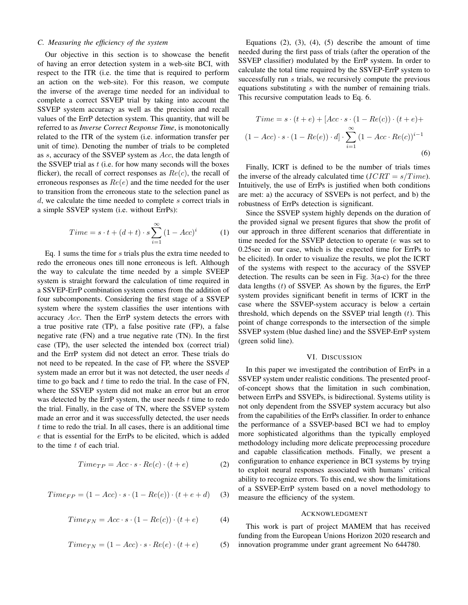# *C. Measuring the efficiency of the system*

Our objective in this section is to showcase the benefit of having an error detection system in a web-site BCI, with respect to the ITR (i.e. the time that is required to perform an action on the web-site). For this reason, we compute the inverse of the average time needed for an individual to complete a correct SSVEP trial by taking into account the SSVEP system accuracy as well as the precision and recall values of the ErrP detection system. This quantity, that will be referred to as *Inverse Correct Response Time*, is monotonically related to the ITR of the system (i.e. information transfer per unit of time). Denoting the number of trials to be completed as s, accuracy of the SSVEP system as Acc, the data length of the SSVEP trial as  $t$  (i.e. for how many seconds will the boxes flicker), the recall of correct responses as  $Re(c)$ , the recall of erroneous responses as  $Re(e)$  and the time needed for the user to transition from the erroneous state to the selection panel as  $d$ , we calculate the time needed to complete  $s$  correct trials in a simple SSVEP system (i.e. without ErrPs):

$$
Time = s \cdot t + (d + t) \cdot s \sum_{i=1}^{\infty} (1 - Acc)^i \tag{1}
$$

Eq. 1 sums the time for s trials plus the extra time needed to redo the erroneous ones till none erroneous is left. Although the way to calculate the time needed by a simple SVEEP system is straight forward the calculation of time required in a SSVEP-ErrP combination system comes from the addition of four subcomponents. Considering the first stage of a SSVEP system where the system classifies the user intentions with accuracy Acc. Then the ErrP system detects the errors with a true positive rate (TP), a false positive rate (FP), a false negative rate (FN) and a true negative rate (TN). In the first case (TP), the user selected the intended box (correct trial) and the ErrP system did not detect an error. These trials do not need to be repeated. In the case of FP, where the SSVEP system made an error but it was not detected, the user needs d time to go back and  $t$  time to redo the trial. In the case of FN, where the SSVEP system did not make an error but an error was detected by the ErrP system, the user needs  $t$  time to redo the trial. Finally, in the case of TN, where the SSVEP system made an error and it was successfully detected, the user needs t time to redo the trial. In all cases, there is an additional time e that is essential for the ErrPs to be elicited, which is added to the time  $t$  of each trial.

$$
Time_{TP} = Acc \cdot s \cdot Re(c) \cdot (t + e)
$$
 (2)

$$
Time_{FP} = (1 - Acc) \cdot s \cdot (1 - Re(e)) \cdot (t + e + d) \tag{3}
$$

$$
Time_{FN} = Acc \cdot s \cdot (1 - Re(c)) \cdot (t + e) \tag{4}
$$

$$
Time_{TN} = (1 - Acc) \cdot s \cdot Re(e) \cdot (t + e) \tag{5}
$$

Equations  $(2)$ ,  $(3)$ ,  $(4)$ ,  $(5)$  describe the amount of time needed during the first pass of trials (after the operation of the SSVEP classifier) modulated by the ErrP system. In order to calculate the total time required by the SSVEP-ErrP system to successfully run s trials, we recursively compute the previous equations substituting s with the number of remaining trials. This recursive computation leads to Eq. 6.

$$
Time = s \cdot (t + e) + [Acc \cdot s \cdot (1 - Re(c)) \cdot (t + e) +
$$

$$
(1 - Acc) \cdot s \cdot (1 - Re(e)) \cdot d] \cdot \sum_{i=1}^{\infty} (1 - Acc \cdot Re(c))^{i-1}
$$
(6)

Finally, ICRT is defined to be the number of trials times the inverse of the already calculated time ( $ICRT = s/Time$ ). Intuitively, the use of ErrPs is justified when both conditions are met: a) the accuracy of SSVEPs is not perfect, and b) the robustness of ErrPs detection is significant.

Since the SSVEP system highly depends on the duration of the provided signal we present figures that show the profit of our approach in three different scenarios that differentiate in time needed for the SSVEP detection to operate (e was set to 0.25sec in our case, which is the expected time for ErrPs to be elicited). In order to visualize the results, we plot the ICRT of the systems with respect to the accuracy of the SSVEP detection. The results can be seen in Fig. 3(a-c) for the three data lengths  $(t)$  of SSVEP. As shown by the figures, the ErrP system provides significant benefit in terms of ICRT in the case where the SSVEP-system accuracy is below a certain threshold, which depends on the SSVEP trial length  $(t)$ . This point of change corresponds to the intersection of the simple SSVEP system (blue dashed line) and the SSVEP-ErrP system (green solid line).

#### VI. DISCUSSION

In this paper we investigated the contribution of ErrPs in a SSVEP system under realistic conditions. The presented proofof-concept shows that the limitation in such combination, between ErrPs and SSVEPs, is bidirectional. Systems utility is not only dependent from the SSVEP system accuracy but also from the capabilities of the ErrPs classifier. In order to enhance the performance of a SSVEP-based BCI we had to employ more sophisticated algorithms than the typically employed methodology including more delicate preprocessing procedure and capable classification methods. Finally, we present a configuration to enhance experience in BCI systems by trying to exploit neural responses associated with humans' critical ability to recognize errors. To this end, we show the limitations of a SSVEP-ErrP system based on a novel methodology to measure the efficiency of the system.

#### ACKNOWLEDGMENT

This work is part of project MAMEM that has received funding from the European Unions Horizon 2020 research and innovation programme under grant agreement No 644780.